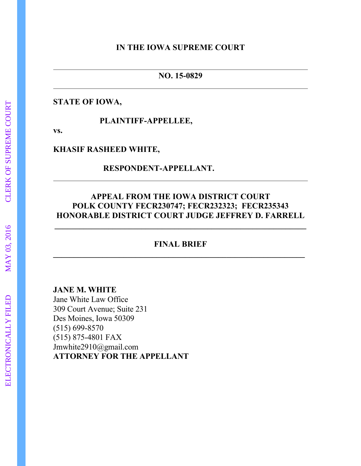#### **IN THE IOWA SUPREME COURT**

#### **NO. 15-0829**

### **STATE OF IOWA,**

 **PLAINTIFF-APPELLEE,**

**vs.**

#### **KHASIF RASHEED WHITE,**

## **RESPONDENT-APPELLANT.**

## **APPEAL FROM THE IOWA DISTRICT COURT POLK COUNTY FECR230747; FECR232323; FECR235343 HONORABLE DISTRICT COURT JUDGE JEFFREY D. FARRELL**

## **FINAL BRIEF \_\_\_\_\_\_\_\_\_\_\_\_\_\_\_\_\_\_\_\_\_\_\_\_\_\_\_\_\_\_\_\_\_\_\_\_\_\_\_\_\_\_\_\_\_\_\_\_\_\_\_\_\_\_\_\_\_\_\_\_\_**

### **JANE M. WHITE**

Jane White Law Office 309 Court Avenue; Suite 231 Des Moines, Iowa 50309 (515) 699-8570 (515) 875-4801 FAX Jmwhite2910@gmail.com **ATTORNEY FOR THE APPELLANT**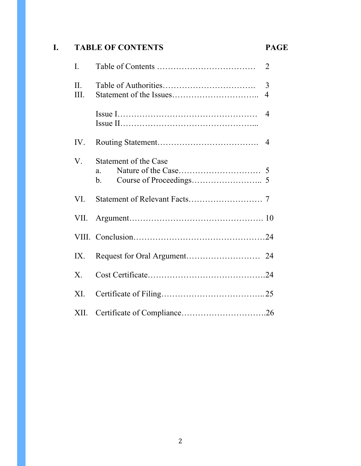# **I. TABLE OF CONTENTS PAGE**

| I.          |                                          | $\overline{2}$ |
|-------------|------------------------------------------|----------------|
| II.<br>Ш.   |                                          | 3<br>4         |
|             |                                          | $\overline{4}$ |
| IV.         |                                          |                |
| $V_{.}$     | <b>Statement of the Case</b><br>a.<br>b. |                |
| VI.         |                                          |                |
| VII.        |                                          |                |
|             |                                          |                |
| IX.         |                                          |                |
| $X_{\cdot}$ |                                          |                |
| XI.         |                                          |                |
| XII.        |                                          |                |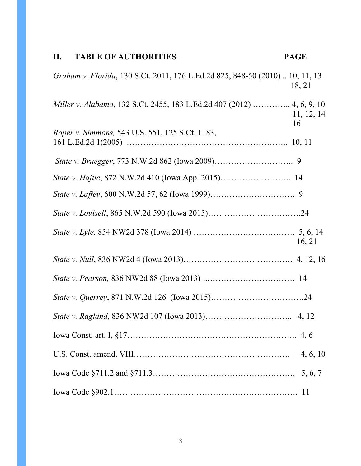# **II. TABLE OF AUTHORITIES PAGE**

| Graham v. Florida, 130 S.Ct. 2011, 176 L.Ed.2d 825, 848-50 (2010)  10, 11, 13 | 18, 21           |
|-------------------------------------------------------------------------------|------------------|
| Miller v. Alabama, 132 S.Ct. 2455, 183 L.Ed.2d 407 (2012)  4, 6, 9, 10        | 11, 12, 14<br>16 |
| Roper v. Simmons, 543 U.S. 551, 125 S.Ct. 1183,                               |                  |
|                                                                               |                  |
|                                                                               |                  |
|                                                                               |                  |
|                                                                               |                  |
|                                                                               | 16, 21           |
|                                                                               |                  |
|                                                                               |                  |
|                                                                               |                  |
|                                                                               |                  |
|                                                                               |                  |
|                                                                               |                  |
|                                                                               | 5, 6, 7          |
|                                                                               | <sup>11</sup>    |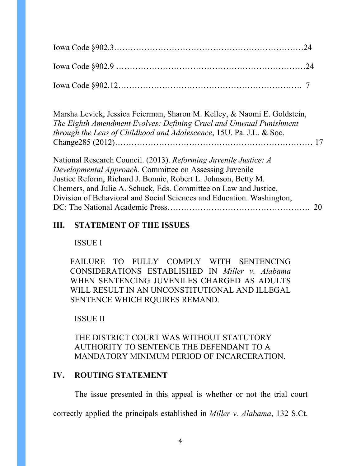Marsha Levick, Jessica Feierman, Sharon M. Kelley, & Naomi E. Goldstein, *The Eighth Amendment Evolves: Defining Cruel and Unusual Punishment through the Lens of Childhood and Adolescence*, 15U. Pa. J.L. & Soc. Change285 (2012)……………………………………………………………… 17

National Research Council. (2013). *Reforming Juvenile Justice: A Developmental Approach*. Committee on Assessing Juvenile Justice Reform, Richard J. Bonnie, Robert L. Johnson, Betty M. Chemers, and Julie A. Schuck, Eds. Committee on Law and Justice, Division of Behavioral and Social Sciences and Education. Washington, DC: The National Academic Press……………………………………………. 20

## **III. STATEMENT OF THE ISSUES**

ISSUE I

FAILURE TO FULLY COMPLY WITH SENTENCING CONSIDERATIONS ESTABLISHED IN *Miller v. Alabama* WHEN SENTENCING JUVENILES CHARGED AS ADULTS WILL RESULT IN AN UNCONSTITUTIONAL AND ILLEGAL SENTENCE WHICH RQUIRES REMAND.

## ISSUE II

## THE DISTRICT COURT WAS WITHOUT STATUTORY AUTHORITY TO SENTENCE THE DEFENDANT TO A MANDATORY MINIMUM PERIOD OF INCARCERATION.

## **IV. ROUTING STATEMENT**

The issue presented in this appeal is whether or not the trial court

correctly applied the principals established in *Miller v. Alabama*, 132 S.Ct.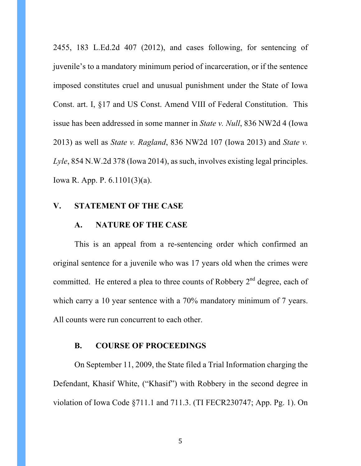2455, 183 L.Ed.2d 407 (2012), and cases following, for sentencing of juvenile's to a mandatory minimum period of incarceration, or if the sentence imposed constitutes cruel and unusual punishment under the State of Iowa Const. art. I, §17 and US Const. Amend VIII of Federal Constitution. This issue has been addressed in some manner in *State v. Null*, 836 NW2d 4 (Iowa 2013) as well as *State v. Ragland*, 836 NW2d 107 (Iowa 2013) and *State v. Lyle*, 854 N.W.2d 378 (Iowa 2014), as such, involves existing legal principles. Iowa R. App. P. 6.1101(3)(a).

#### **V. STATEMENT OF THE CASE**

#### **A. NATURE OF THE CASE**

This is an appeal from a re-sentencing order which confirmed an original sentence for a juvenile who was 17 years old when the crimes were committed. He entered a plea to three counts of Robbery  $2<sup>nd</sup>$  degree, each of which carry a 10 year sentence with a 70% mandatory minimum of 7 years. All counts were run concurrent to each other.

#### **B. COURSE OF PROCEEDINGS**

On September 11, 2009, the State filed a Trial Information charging the Defendant, Khasif White, ("Khasif") with Robbery in the second degree in violation of Iowa Code §711.1 and 711.3. (TI FECR230747; App. Pg. 1). On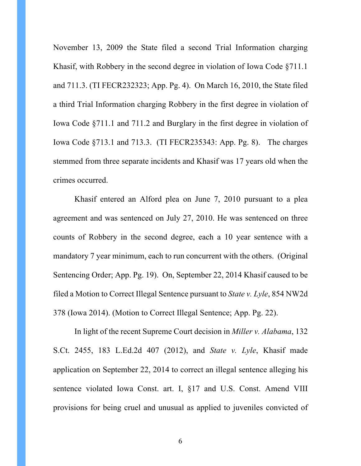November 13, 2009 the State filed a second Trial Information charging Khasif, with Robbery in the second degree in violation of Iowa Code §711.1 and 711.3. (TI FECR232323; App. Pg. 4). On March 16, 2010, the State filed a third Trial Information charging Robbery in the first degree in violation of Iowa Code §711.1 and 711.2 and Burglary in the first degree in violation of Iowa Code §713.1 and 713.3. (TI FECR235343: App. Pg. 8). The charges stemmed from three separate incidents and Khasif was 17 years old when the crimes occurred.

Khasif entered an Alford plea on June 7, 2010 pursuant to a plea agreement and was sentenced on July 27, 2010. He was sentenced on three counts of Robbery in the second degree, each a 10 year sentence with a mandatory 7 year minimum, each to run concurrent with the others. (Original Sentencing Order; App. Pg. 19). On, September 22, 2014 Khasif caused to be filed a Motion to Correct Illegal Sentence pursuant to *State v. Lyle*, 854 NW2d 378 (Iowa 2014). (Motion to Correct Illegal Sentence; App. Pg. 22).

In light of the recent Supreme Court decision in *Miller v. Alabama*, 132 S.Ct. 2455, 183 L.Ed.2d 407 (2012), and *State v. Lyle*, Khasif made application on September 22, 2014 to correct an illegal sentence alleging his sentence violated Iowa Const. art. I, §17 and U.S. Const. Amend VIII provisions for being cruel and unusual as applied to juveniles convicted of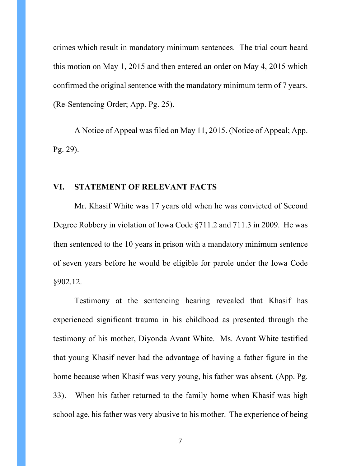crimes which result in mandatory minimum sentences. The trial court heard this motion on May 1, 2015 and then entered an order on May 4, 2015 which confirmed the original sentence with the mandatory minimum term of 7 years. (Re-Sentencing Order; App. Pg. 25).

A Notice of Appeal was filed on May 11, 2015. (Notice of Appeal; App. Pg. 29).

#### **VI. STATEMENT OF RELEVANT FACTS**

Mr. Khasif White was 17 years old when he was convicted of Second Degree Robbery in violation of Iowa Code §711.2 and 711.3 in 2009. He was then sentenced to the 10 years in prison with a mandatory minimum sentence of seven years before he would be eligible for parole under the Iowa Code §902.12.

Testimony at the sentencing hearing revealed that Khasif has experienced significant trauma in his childhood as presented through the testimony of his mother, Diyonda Avant White. Ms. Avant White testified that young Khasif never had the advantage of having a father figure in the home because when Khasif was very young, his father was absent. (App. Pg. 33). When his father returned to the family home when Khasif was high school age, his father was very abusive to his mother. The experience of being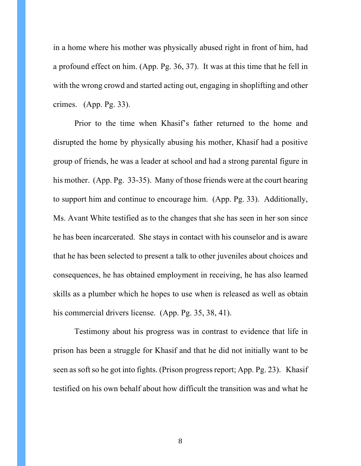in a home where his mother was physically abused right in front of him, had a profound effect on him. (App. Pg. 36, 37). It was at this time that he fell in with the wrong crowd and started acting out, engaging in shoplifting and other crimes. (App. Pg. 33).

Prior to the time when Khasif's father returned to the home and disrupted the home by physically abusing his mother, Khasif had a positive group of friends, he was a leader at school and had a strong parental figure in his mother. (App. Pg. 33-35). Many of those friends were at the court hearing to support him and continue to encourage him. (App. Pg. 33). Additionally, Ms. Avant White testified as to the changes that she has seen in her son since he has been incarcerated. She stays in contact with his counselor and is aware that he has been selected to present a talk to other juveniles about choices and consequences, he has obtained employment in receiving, he has also learned skills as a plumber which he hopes to use when is released as well as obtain his commercial drivers license. (App. Pg. 35, 38, 41).

Testimony about his progress was in contrast to evidence that life in prison has been a struggle for Khasif and that he did not initially want to be seen as soft so he got into fights. (Prison progress report; App. Pg. 23). Khasif testified on his own behalf about how difficult the transition was and what he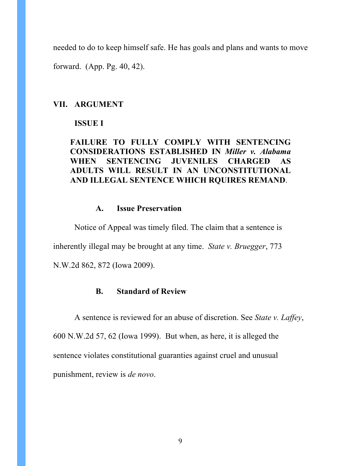needed to do to keep himself safe. He has goals and plans and wants to move

forward. (App. Pg. 40, 42).

#### **VII. ARGUMENT**

#### **ISSUE I**

## **FAILURE TO FULLY COMPLY WITH SENTENCING CONSIDERATIONS ESTABLISHED IN** *Miller v. Alabama*  **WHEN SENTENCING JUVENILES CHARGED AS ADULTS WILL RESULT IN AN UNCONSTITUTIONAL AND ILLEGAL SENTENCE WHICH RQUIRES REMAND**.

## **A. Issue Preservation**

Notice of Appeal was timely filed. The claim that a sentence is inherently illegal may be brought at any time. *State v. Bruegger*, 773 N.W.2d 862, 872 (Iowa 2009).

#### **B. Standard of Review**

A sentence is reviewed for an abuse of discretion. See *State v. Laffey*, 600 N.W.2d 57, 62 (Iowa 1999). But when, as here, it is alleged the sentence violates constitutional guaranties against cruel and unusual punishment, review is *de novo*.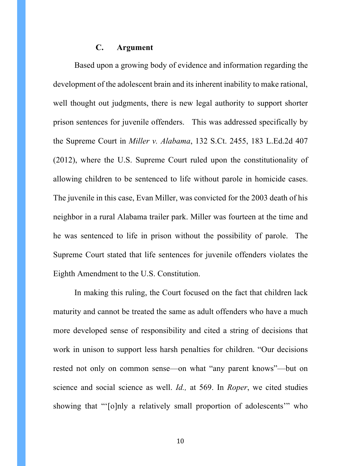#### **C. Argument**

Based upon a growing body of evidence and information regarding the development of the adolescent brain and its inherent inability to make rational, well thought out judgments, there is new legal authority to support shorter prison sentences for juvenile offenders. This was addressed specifically by the Supreme Court in *Miller v. Alabama*, 132 S.Ct. 2455, 183 L.Ed.2d 407 (2012), where the U.S. Supreme Court ruled upon the constitutionality of allowing children to be sentenced to life without parole in homicide cases. The juvenile in this case, Evan Miller, was convicted for the 2003 death of his neighbor in a rural Alabama trailer park. Miller was fourteen at the time and he was sentenced to life in prison without the possibility of parole. The Supreme Court stated that life sentences for juvenile offenders violates the Eighth Amendment to the U.S. Constitution.

In making this ruling, the Court focused on the fact that children lack maturity and cannot be treated the same as adult offenders who have a much more developed sense of responsibility and cited a string of decisions that work in unison to support less harsh penalties for children. "Our decisions rested not only on common sense—on what "any parent knows"—but on science and social science as well. *Id.,* at 569. In *Roper*, we cited studies showing that "'[o]nly a relatively small proportion of adolescents'" who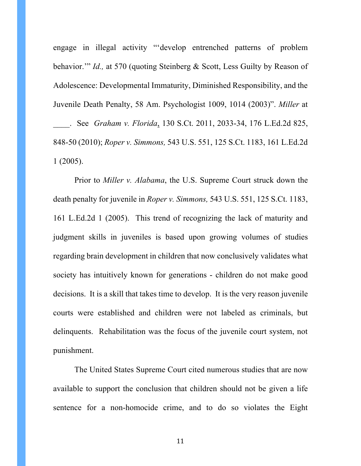engage in illegal activity "'develop entrenched patterns of problem behavior.'" *Id.,* at 570 (quoting Steinberg & Scott, Less Guilty by Reason of Adolescence: Developmental Immaturity, Diminished Responsibility, and the Juvenile Death Penalty, 58 Am. Psychologist 1009, 1014 (2003)". *Miller* at \_\_\_\_. See *Graham v. Florida*, 130 S.Ct. 2011, 2033-34, 176 L.Ed.2d 825, 848-50 (2010); *Roper v. Simmons,* 543 U.S. 551, 125 S.Ct. 1183, 161 L.Ed.2d

1 (2005).

Prior to *Miller v. Alabama*, the U.S. Supreme Court struck down the death penalty for juvenile in *Roper v. Simmons,* 543 U.S. 551, 125 S.Ct. 1183, 161 L.Ed.2d 1 (2005). This trend of recognizing the lack of maturity and judgment skills in juveniles is based upon growing volumes of studies regarding brain development in children that now conclusively validates what society has intuitively known for generations - children do not make good decisions. It is a skill that takes time to develop. It is the very reason juvenile courts were established and children were not labeled as criminals, but delinquents. Rehabilitation was the focus of the juvenile court system, not punishment.

The United States Supreme Court cited numerous studies that are now available to support the conclusion that children should not be given a life sentence for a non-homocide crime, and to do so violates the Eight

11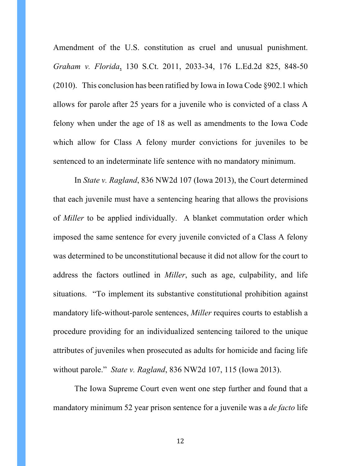Amendment of the U.S. constitution as cruel and unusual punishment. *Graham v. Florida*, 130 S.Ct. 2011, 2033-34, 176 L.Ed.2d 825, 848-50 (2010). This conclusion has been ratified by Iowa in Iowa Code §902.1 which allows for parole after 25 years for a juvenile who is convicted of a class A felony when under the age of 18 as well as amendments to the Iowa Code which allow for Class A felony murder convictions for juveniles to be sentenced to an indeterminate life sentence with no mandatory minimum.

In *State v. Ragland*, 836 NW2d 107 (Iowa 2013), the Court determined that each juvenile must have a sentencing hearing that allows the provisions of *Miller* to be applied individually. A blanket commutation order which imposed the same sentence for every juvenile convicted of a Class A felony was determined to be unconstitutional because it did not allow for the court to address the factors outlined in *Miller*, such as age, culpability, and life situations. "To implement its substantive constitutional prohibition against mandatory life-without-parole sentences, *Miller* requires courts to establish a procedure providing for an individualized sentencing tailored to the unique attributes of juveniles when prosecuted as adults for homicide and facing life without parole." *State v. Ragland*, 836 NW2d 107, 115 (Iowa 2013).

The Iowa Supreme Court even went one step further and found that a mandatory minimum 52 year prison sentence for a juvenile was a *de facto* life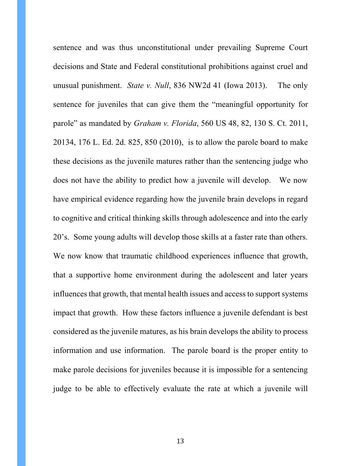sentence and was thus unconstitutional under prevailing Supreme Court decisions and State and Federal constitutional prohibitions against cruel and unusual punishment. *State v. Null*, 836 NW2d 41 (Iowa 2013). The only sentence for juveniles that can give them the "meaningful opportunity for parole" as mandated by *Graham v. Florida*, 560 US 48, 82, 130 S. Ct. 2011, 20134, 176 L. Ed. 2d. 825, 850 (2010), is to allow the parole board to make these decisions as the juvenile matures rather than the sentencing judge who does not have the ability to predict how a juvenile will develop. We now have empirical evidence regarding how the juvenile brain develops in regard to cognitive and critical thinking skills through adolescence and into the early 20's. Some young adults will develop those skills at a faster rate than others. We now know that traumatic childhood experiences influence that growth, that a supportive home environment during the adolescent and later years influences that growth, that mental health issues and access to support systems impact that growth. How these factors influence a juvenile defendant is best considered as the juvenile matures, as his brain develops the ability to process information and use information. The parole board is the proper entity to make parole decisions for juveniles because it is impossible for a sentencing judge to be able to effectively evaluate the rate at which a juvenile will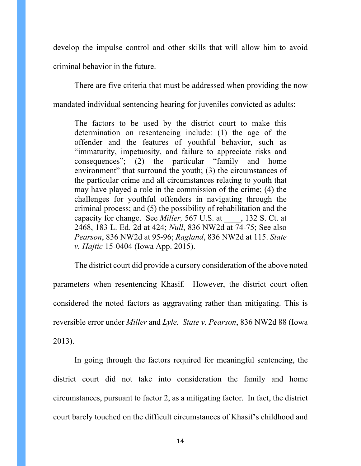develop the impulse control and other skills that will allow him to avoid criminal behavior in the future.

There are five criteria that must be addressed when providing the now mandated individual sentencing hearing for juveniles convicted as adults:

The factors to be used by the district court to make this determination on resentencing include: (1) the age of the offender and the features of youthful behavior, such as "immaturity, impetuosity, and failure to appreciate risks and consequences"; (2) the particular "family and home environment" that surround the youth; (3) the circumstances of the particular crime and all circumstances relating to youth that may have played a role in the commission of the crime; (4) the challenges for youthful offenders in navigating through the criminal process; and (5) the possibility of rehabilitation and the capacity for change. See *Miller,* 567 U.S. at \_\_\_\_, 132 S. Ct. at 2468, 183 L. Ed. 2d at 424; *Null*, 836 NW2d at 74-75; See also *Pearson*, 836 NW2d at 95-96; *Ragland*, 836 NW2d at 115. *State v. Hajtic* 15-0404 (Iowa App. 2015).

The district court did provide a cursory consideration of the above noted parameters when resentencing Khasif. However, the district court often considered the noted factors as aggravating rather than mitigating. This is reversible error under *Miller* and *Lyle. State v. Pearson*, 836 NW2d 88 (Iowa 2013).

In going through the factors required for meaningful sentencing, the district court did not take into consideration the family and home circumstances, pursuant to factor 2, as a mitigating factor. In fact, the district court barely touched on the difficult circumstances of Khasif's childhood and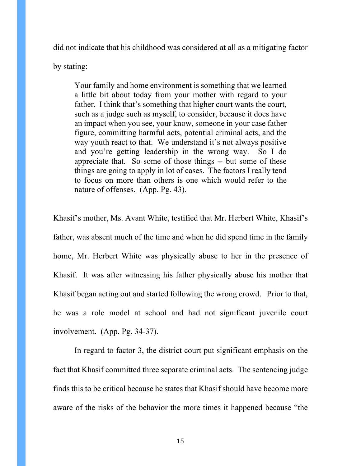did not indicate that his childhood was considered at all as a mitigating factor

by stating:

Your family and home environment is something that we learned a little bit about today from your mother with regard to your father. I think that's something that higher court wants the court, such as a judge such as myself, to consider, because it does have an impact when you see, your know, someone in your case father figure, committing harmful acts, potential criminal acts, and the way youth react to that. We understand it's not always positive and you're getting leadership in the wrong way. So I do appreciate that. So some of those things -- but some of these things are going to apply in lot of cases. The factors I really tend to focus on more than others is one which would refer to the nature of offenses. (App. Pg. 43).

Khasif's mother, Ms. Avant White, testified that Mr. Herbert White, Khasif's father, was absent much of the time and when he did spend time in the family home, Mr. Herbert White was physically abuse to her in the presence of Khasif. It was after witnessing his father physically abuse his mother that Khasif began acting out and started following the wrong crowd. Prior to that, he was a role model at school and had not significant juvenile court involvement. (App. Pg. 34-37).

In regard to factor 3, the district court put significant emphasis on the fact that Khasif committed three separate criminal acts. The sentencing judge finds this to be critical because he states that Khasif should have become more aware of the risks of the behavior the more times it happened because "the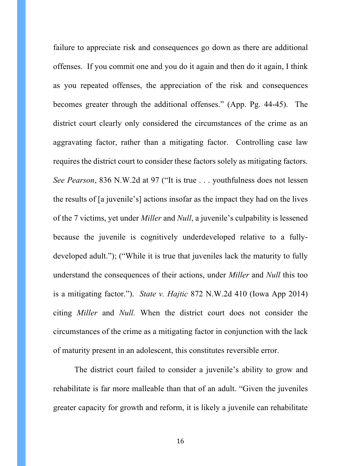failure to appreciate risk and consequences go down as there are additional offenses. If you commit one and you do it again and then do it again, I think as you repeated offenses, the appreciation of the risk and consequences becomes greater through the additional offenses." (App. Pg. 44-45). The district court clearly only considered the circumstances of the crime as an aggravating factor, rather than a mitigating factor. Controlling case law requires the district court to consider these factors solely as mitigating factors. *See Pearson*, 836 N.W.2d at 97 ("It is true . . . youthfulness does not lessen the results of [a juvenile's] actions insofar as the impact they had on the lives of the 7 victims, yet under *Miller* and *Null*, a juvenile's culpability is lessened because the juvenile is cognitively underdeveloped relative to a fullydeveloped adult."); ("While it is true that juveniles lack the maturity to fully understand the consequences of their actions, under *Miller* and *Null* this too is a mitigating factor."). *State v. Hajtic* 872 N.W.2d 410 (Iowa App 2014) citing *Miller* and *Null.* When the district court does not consider the circumstances of the crime as a mitigating factor in conjunction with the lack of maturity present in an adolescent, this constitutes reversible error.

The district court failed to consider a juvenile's ability to grow and rehabilitate is far more malleable than that of an adult. "Given the juveniles greater capacity for growth and reform, it is likely a juvenile can rehabilitate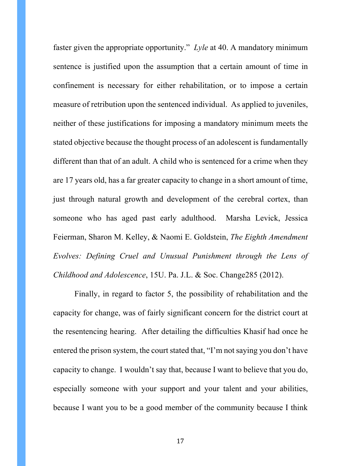faster given the appropriate opportunity." *Lyle* at 40. A mandatory minimum sentence is justified upon the assumption that a certain amount of time in confinement is necessary for either rehabilitation, or to impose a certain measure of retribution upon the sentenced individual. As applied to juveniles, neither of these justifications for imposing a mandatory minimum meets the stated objective because the thought process of an adolescent is fundamentally different than that of an adult. A child who is sentenced for a crime when they are 17 years old, has a far greater capacity to change in a short amount of time, just through natural growth and development of the cerebral cortex, than someone who has aged past early adulthood. Marsha Levick, Jessica Feierman, Sharon M. Kelley, & Naomi E. Goldstein, *The Eighth Amendment Evolves: Defining Cruel and Unusual Punishment through the Lens of Childhood and Adolescence*, 15U. Pa. J.L. & Soc. Change285 (2012).

Finally, in regard to factor 5, the possibility of rehabilitation and the capacity for change, was of fairly significant concern for the district court at the resentencing hearing. After detailing the difficulties Khasif had once he entered the prison system, the court stated that, "I'm not saying you don't have capacity to change. I wouldn't say that, because I want to believe that you do, especially someone with your support and your talent and your abilities, because I want you to be a good member of the community because I think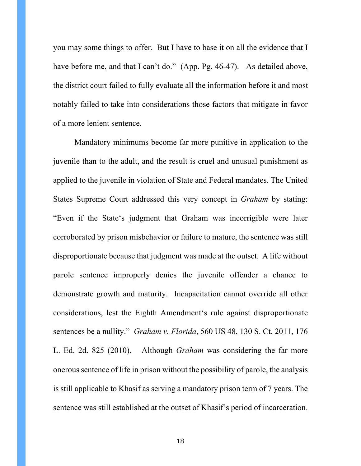you may some things to offer. But I have to base it on all the evidence that I have before me, and that I can't do." (App. Pg. 46-47). As detailed above, the district court failed to fully evaluate all the information before it and most notably failed to take into considerations those factors that mitigate in favor of a more lenient sentence.

Mandatory minimums become far more punitive in application to the juvenile than to the adult, and the result is cruel and unusual punishment as applied to the juvenile in violation of State and Federal mandates. The United States Supreme Court addressed this very concept in *Graham* by stating: "Even if the State's judgment that Graham was incorrigible were later corroborated by prison misbehavior or failure to mature, the sentence was still disproportionate because that judgment was made at the outset. A life without parole sentence improperly denies the juvenile offender a chance to demonstrate growth and maturity. Incapacitation cannot override all other considerations, lest the Eighth Amendment's rule against disproportionate sentences be a nullity." *Graham v. Florida*, 560 US 48, 130 S. Ct. 2011, 176 L. Ed. 2d. 825 (2010). Although *Graham* was considering the far more onerous sentence of life in prison without the possibility of parole, the analysis is still applicable to Khasif as serving a mandatory prison term of 7 years. The sentence was still established at the outset of Khasif's period of incarceration.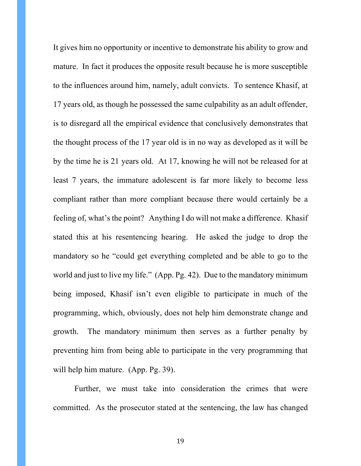It gives him no opportunity or incentive to demonstrate his ability to grow and mature. In fact it produces the opposite result because he is more susceptible to the influences around him, namely, adult convicts. To sentence Khasif, at 17 years old, as though he possessed the same culpability as an adult offender, is to disregard all the empirical evidence that conclusively demonstrates that the thought process of the 17 year old is in no way as developed as it will be by the time he is 21 years old. At 17, knowing he will not be released for at least 7 years, the immature adolescent is far more likely to become less compliant rather than more compliant because there would certainly be a feeling of, what's the point? Anything I do will not make a difference. Khasif stated this at his resentencing hearing. He asked the judge to drop the mandatory so he "could get everything completed and be able to go to the world and just to live my life." (App. Pg. 42). Due to the mandatory minimum being imposed, Khasif isn't even eligible to participate in much of the programming, which, obviously, does not help him demonstrate change and growth. The mandatory minimum then serves as a further penalty by preventing him from being able to participate in the very programming that will help him mature. (App. Pg. 39).

Further, we must take into consideration the crimes that were committed. As the prosecutor stated at the sentencing, the law has changed

19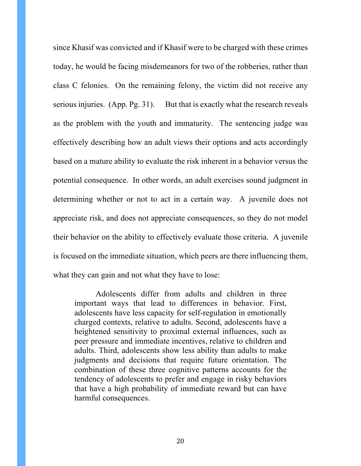since Khasif was convicted and if Khasif were to be charged with these crimes today, he would be facing misdemeanors for two of the robberies, rather than class C felonies. On the remaining felony, the victim did not receive any serious injuries. (App. Pg. 31). But that is exactly what the research reveals as the problem with the youth and immaturity. The sentencing judge was effectively describing how an adult views their options and acts accordingly based on a mature ability to evaluate the risk inherent in a behavior versus the potential consequence. In other words, an adult exercises sound judgment in determining whether or not to act in a certain way. A juvenile does not appreciate risk, and does not appreciate consequences, so they do not model their behavior on the ability to effectively evaluate those criteria. A juvenile is focused on the immediate situation, which peers are there influencing them, what they can gain and not what they have to lose:

Adolescents differ from adults and children in three important ways that lead to differences in behavior. First, adolescents have less capacity for self-regulation in emotionally charged contexts, relative to adults. Second, adolescents have a heightened sensitivity to proximal external influences, such as peer pressure and immediate incentives, relative to children and adults. Third, adolescents show less ability than adults to make judgments and decisions that require future orientation. The combination of these three cognitive patterns accounts for the tendency of adolescents to prefer and engage in risky behaviors that have a high probability of immediate reward but can have harmful consequences.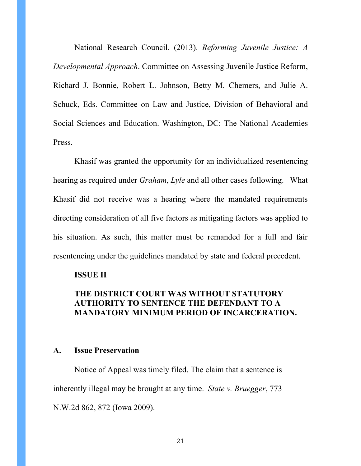National Research Council. (2013). *Reforming Juvenile Justice: A Developmental Approach*. Committee on Assessing Juvenile Justice Reform, Richard J. Bonnie, Robert L. Johnson, Betty M. Chemers, and Julie A. Schuck, Eds. Committee on Law and Justice, Division of Behavioral and Social Sciences and Education. Washington, DC: The National Academies Press.

Khasif was granted the opportunity for an individualized resentencing hearing as required under *Graham*, *Lyle* and all other cases following. What Khasif did not receive was a hearing where the mandated requirements directing consideration of all five factors as mitigating factors was applied to his situation. As such, this matter must be remanded for a full and fair resentencing under the guidelines mandated by state and federal precedent.

#### **ISSUE II**

## **THE DISTRICT COURT WAS WITHOUT STATUTORY AUTHORITY TO SENTENCE THE DEFENDANT TO A MANDATORY MINIMUM PERIOD OF INCARCERATION.**

#### **A. Issue Preservation**

Notice of Appeal was timely filed. The claim that a sentence is inherently illegal may be brought at any time. *State v. Bruegger*, 773 N.W.2d 862, 872 (Iowa 2009).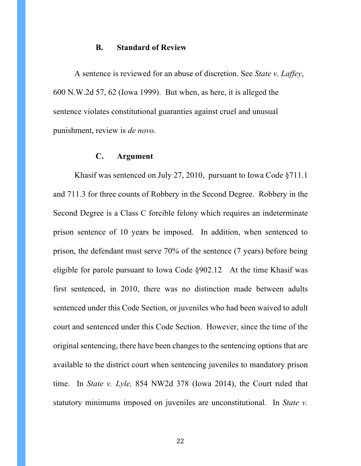#### **B. Standard of Review**

A sentence is reviewed for an abuse of discretion. See *State v. Laffey*, 600 N.W.2d 57, 62 (Iowa 1999). But when, as here, it is alleged the sentence violates constitutional guaranties against cruel and unusual punishment, review is *de novo*.

#### **C. Argument**

Khasif was sentenced on July 27, 2010, pursuant to Iowa Code §711.1 and 711.3 for three counts of Robbery in the Second Degree. Robbery in the Second Degree is a Class C forcible felony which requires an indeterminate prison sentence of 10 years be imposed. In addition, when sentenced to prison, the defendant must serve 70% of the sentence (7 years) before being eligible for parole pursuant to Iowa Code §902.12 At the time Khasif was first sentenced, in 2010, there was no distinction made between adults sentenced under this Code Section, or juveniles who had been waived to adult court and sentenced under this Code Section. However, since the time of the original sentencing, there have been changes to the sentencing options that are available to the district court when sentencing juveniles to mandatory prison time. In *State v. Lyle,* 854 NW2d 378 (Iowa 2014), the Court ruled that statutory minimums imposed on juveniles are unconstitutional. In *State v.*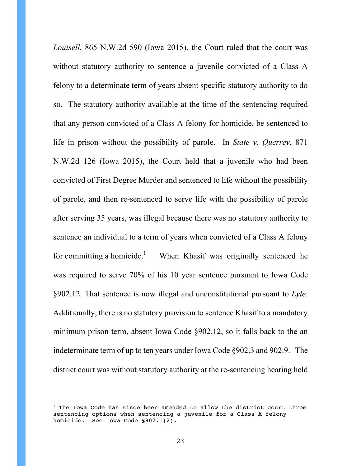*Louisell*, 865 N.W.2d 590 (Iowa 2015), the Court ruled that the court was without statutory authority to sentence a juvenile convicted of a Class A felony to a determinate term of years absent specific statutory authority to do so. The statutory authority available at the time of the sentencing required that any person convicted of a Class A felony for homicide, be sentenced to life in prison without the possibility of parole. In *State v. Querrey*, 871 N.W.2d 126 (Iowa 2015), the Court held that a juvenile who had been convicted of First Degree Murder and sentenced to life without the possibility of parole, and then re-sentenced to serve life with the possibility of parole after serving 35 years, was illegal because there was no statutory authority to sentence an individual to a term of years when convicted of a Class A felony for committing a homicide.<sup>1</sup> When Khasif was originally sentenced he was required to serve 70% of his 10 year sentence pursuant to Iowa Code §902.12. That sentence is now illegal and unconstitutional pursuant to *Lyle*. Additionally, there is no statutory provision to sentence Khasif to a mandatory minimum prison term, absent Iowa Code §902.12, so it falls back to the an indeterminate term of up to ten years under Iowa Code §902.3 and 902.9. The district court was without statutory authority at the re-sentencing hearing held

 

 $1$  The Iowa Code has since been amended to allow the district court three sentencing options when sentencing a juvenile for a Class A felony homicide. See Iowa Code §902.1(2).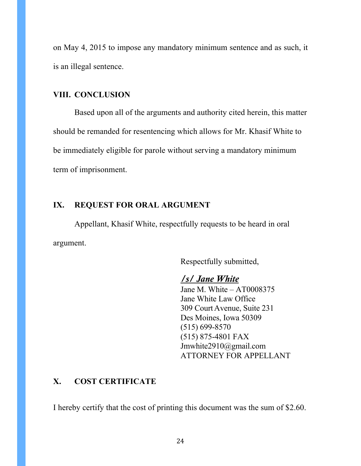on May 4, 2015 to impose any mandatory minimum sentence and as such, it is an illegal sentence.

## **VIII. CONCLUSION**

Based upon all of the arguments and authority cited herein, this matter should be remanded for resentencing which allows for Mr. Khasif White to be immediately eligible for parole without serving a mandatory minimum term of imprisonment.

## **IX. REQUEST FOR ORAL ARGUMENT**

Appellant, Khasif White, respectfully requests to be heard in oral argument.

Respectfully submitted,

## */s/ Jane White*

Jane M. White – AT0008375 Jane White Law Office 309 CourtAvenue, Suite 231 Des Moines, Iowa 50309 (515) 699-8570 (515) 875-4801 FAX Jmwhite2910@gmail.com ATTORNEY FOR APPELLANT

#### **X. COST CERTIFICATE**

I hereby certify that the cost of printing this document was the sum of \$2.60.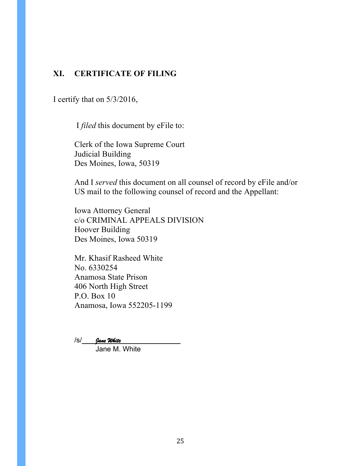## **XI. CERTIFICATE OF FILING**

I certify that on 5/3/2016,

I *filed* this document by eFile to:

Clerk of the Iowa Supreme Court Judicial Building Des Moines, Iowa, 50319

And I *served* this document on all counsel of record by eFile and/or US mail to the following counsel of record and the Appellant:

Iowa Attorney General c/o CRIMINAL APPEALS DIVISION Hoover Building Des Moines, Iowa 50319

Mr. Khasif Rasheed White No. 6330254 Anamosa State Prison 406 North High Street P.O. Box 10 Anamosa, Iowa 552205-1199

/s/ Jane White

Jane M. White